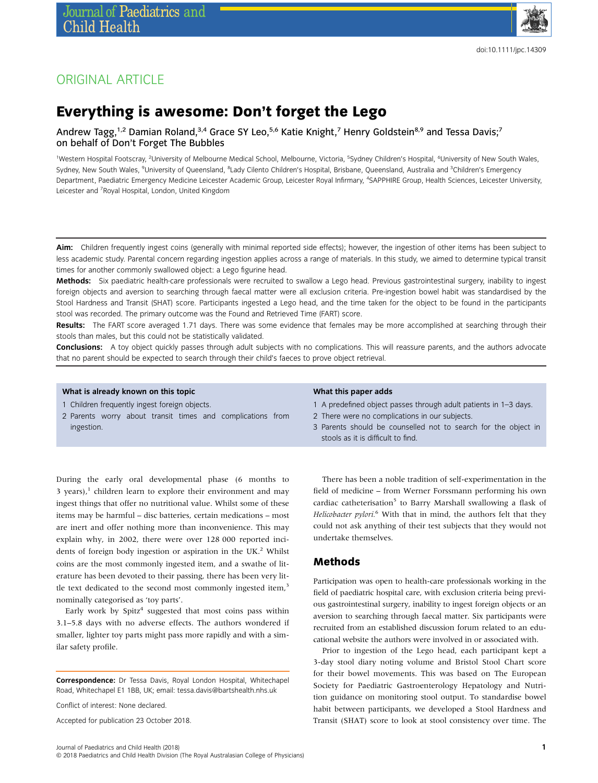

## ORIGINAL ARTICLE

# Everything is awesome: Don't forget the Lego

Andrew Tagg,<sup>1,2</sup> Damian Roland,<sup>3,4</sup> Grace SY Leo,<sup>5,6</sup> Katie Knight,<sup>7</sup> Henry Goldstein<sup>8,9</sup> and Tessa Davis;<sup>7</sup> on behalf of Don't Forget The Bubbles

<sup>1</sup>Western Hospital Footscray, <sup>2</sup>University of Melbourne Medical School, Melbourne, Victoria, <sup>5</sup>Sydney Children's Hospital, <sup>6</sup>University of New South Wales, Sydney, New South Wales, <sup>9</sup>University of Queensland, <sup>8</sup>Lady Cilento Children's Hospital, Brisbane, Queensland, Australia and <sup>3</sup>Children's Emergency Department, Paediatric Emergency Medicine Leicester Academic Group, Leicester Royal Infirmary, <sup>4</sup>SAPPHIRE Group, Health Sciences, Leicester University, Leicester and <sup>7</sup> Royal Hospital, London, United Kingdom

Aim: Children frequently ingest coins (generally with minimal reported side effects); however, the ingestion of other items has been subject to less academic study. Parental concern regarding ingestion applies across a range of materials. In this study, we aimed to determine typical transit times for another commonly swallowed object: a Lego figurine head.

Methods: Six paediatric health-care professionals were recruited to swallow a Lego head. Previous gastrointestinal surgery, inability to ingest foreign objects and aversion to searching through faecal matter were all exclusion criteria. Pre-ingestion bowel habit was standardised by the Stool Hardness and Transit (SHAT) score. Participants ingested a Lego head, and the time taken for the object to be found in the participants stool was recorded. The primary outcome was the Found and Retrieved Time (FART) score.

Results: The FART score averaged 1.71 days. There was some evidence that females may be more accomplished at searching through their stools than males, but this could not be statistically validated.

Conclusions: A toy object quickly passes through adult subjects with no complications. This will reassure parents, and the authors advocate that no parent should be expected to search through their child's faeces to prove object retrieval.

#### What is already known on this topic

1 Children frequently ingest foreign objects.

2 Parents worry about transit times and complications from ingestion.

#### What this paper adds

- 1 A predefined object passes through adult patients in 1–3 days.
- 2 There were no complications in our subjects.
- 3 Parents should be counselled not to search for the object in stools as it is difficult to find.

During the early oral developmental phase (6 months to 3 years), $\frac{1}{2}$  children learn to explore their environment and may ingest things that offer no nutritional value. Whilst some of these items may be harmful – disc batteries, certain medications – most are inert and offer nothing more than inconvenience. This may explain why, in 2002, there were over 128 000 reported incidents of foreign body ingestion or aspiration in the UK.<sup>2</sup> Whilst coins are the most commonly ingested item, and a swathe of literature has been devoted to their passing, there has been very little text dedicated to the second most commonly ingested item,<sup>3</sup> nominally categorised as 'toy parts'.

Early work by  $Spitz<sup>4</sup>$  suggested that most coins pass within 3.1–5.8 days with no adverse effects. The authors wondered if smaller, lighter toy parts might pass more rapidly and with a similar safety profile.

Correspondence: Dr Tessa Davis, Royal London Hospital, Whitechapel Road, Whitechapel E1 1BB, UK; email: [tessa.davis@bartshealth.nhs.uk](mailto:tessa.davis@bartshealth.nhs.uk)

Conflict of interest: None declared.

Accepted for publication 23 October 2018.

There has been a noble tradition of self-experimentation in the field of medicine – from Werner Forssmann performing his own cardiac catheterisation<sup>5</sup> to Barry Marshall swallowing a flask of Helicobacter pylori.<sup>6</sup> With that in mind, the authors felt that they could not ask anything of their test subjects that they would not undertake themselves.

#### Methods

Participation was open to health-care professionals working in the field of paediatric hospital care, with exclusion criteria being previous gastrointestinal surgery, inability to ingest foreign objects or an aversion to searching through faecal matter. Six participants were recruited from an established discussion forum related to an educational website the authors were involved in or associated with.

Prior to ingestion of the Lego head, each participant kept a 3-day stool diary noting volume and Bristol Stool Chart score for their bowel movements. This was based on The European Society for Paediatric Gastroenterology Hepatology and Nutrition guidance on monitoring stool output. To standardise bowel habit between participants, we developed a Stool Hardness and Transit (SHAT) score to look at stool consistency over time. The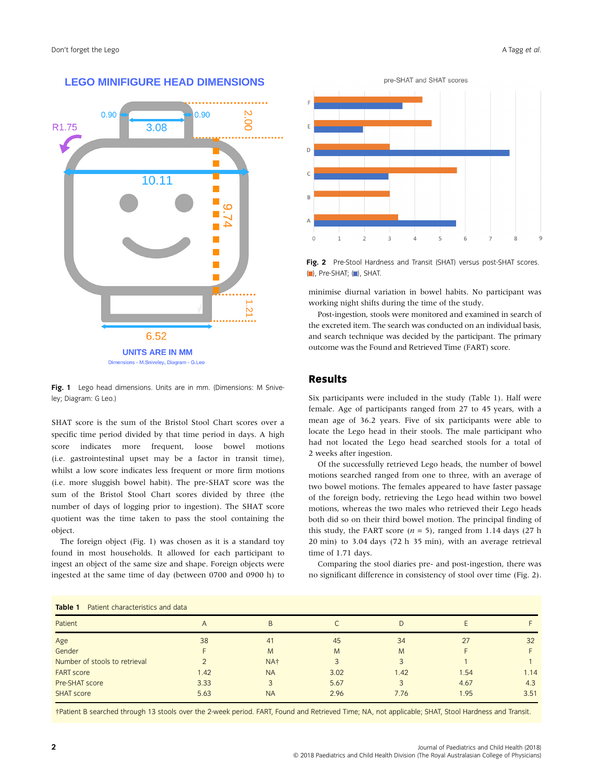

#### **LEGO MINIFIGURE HEAD DIMENSIONS**



Fig. 1 Lego head dimensions. Units are in mm. (Dimensions: M Sniveley; Diagram: G Leo.)

SHAT score is the sum of the Bristol Stool Chart scores over a specific time period divided by that time period in days. A high score indicates more frequent, loose bowel motions (i.e. gastrointestinal upset may be a factor in transit time), whilst a low score indicates less frequent or more firm motions (i.e. more sluggish bowel habit). The pre-SHAT score was the sum of the Bristol Stool Chart scores divided by three (the number of days of logging prior to ingestion). The SHAT score quotient was the time taken to pass the stool containing the object.

The foreign object (Fig. 1) was chosen as it is a standard toy found in most households. It allowed for each participant to ingest an object of the same size and shape. Foreign objects were ingested at the same time of day (between 0700 and 0900 h) to

Table 1 Patient characteristics and data



Fig. 2 Pre-Stool Hardness and Transit (SHAT) versus post-SHAT scores. ( ), Pre-SHAT; ( ), SHAT.

minimise diurnal variation in bowel habits. No participant was working night shifts during the time of the study.

Post-ingestion, stools were monitored and examined in search of the excreted item. The search was conducted on an individual basis, and search technique was decided by the participant. The primary outcome was the Found and Retrieved Time (FART) score.

#### Results

Six participants were included in the study (Table 1). Half were female. Age of participants ranged from 27 to 45 years, with a mean age of 36.2 years. Five of six participants were able to locate the Lego head in their stools. The male participant who had not located the Lego head searched stools for a total of 2 weeks after ingestion.

Of the successfully retrieved Lego heads, the number of bowel motions searched ranged from one to three, with an average of two bowel motions. The females appeared to have faster passage of the foreign body, retrieving the Lego head within two bowel motions, whereas the two males who retrieved their Lego heads both did so on their third bowel motion. The principal finding of this study, the FART score ( $n = 5$ ), ranged from 1.14 days (27 h 20 min) to 3.04 days (72 h 35 min), with an average retrieval time of 1.71 days.

Comparing the stool diaries pre- and post-ingestion, there was no significant difference in consistency of stool over time (Fig. 2).

| Table T<br>- Fatient Characteristics and data |      |                 |      |      |      |      |
|-----------------------------------------------|------|-----------------|------|------|------|------|
| Patient                                       | A    | B               |      | D    |      |      |
| Age                                           | 38   | 41              | 45   | 34   | 27   | 32   |
| Gender                                        |      | M               | M    | M    |      |      |
| Number of stools to retrieval                 |      | NA <sup>+</sup> |      |      |      |      |
| <b>FART</b> score                             | 1.42 | <b>NA</b>       | 3.02 | 1.42 | .54  | 1.14 |
| Pre-SHAT score                                | 3.33 |                 | 5.67 |      | 4.67 | 4.3  |
| <b>SHAT score</b>                             | 5.63 | <b>NA</b>       | 2.96 | 7.76 | 1.95 | 3.51 |
|                                               |      |                 |      |      |      |      |

†Patient B searched through 13 stools over the 2-week period. FART, Found and Retrieved Time; NA, not applicable; SHAT, Stool Hardness and Transit.